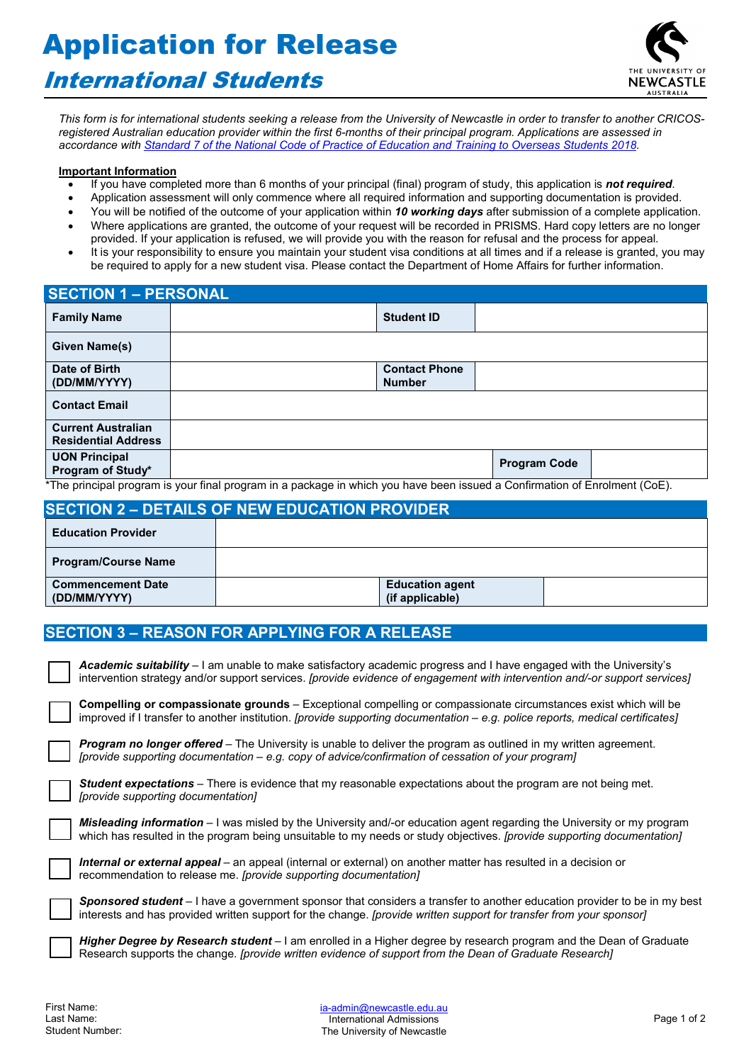# Application for Release

# International Students



*This form is for international students seeking a release from the University of Newcastle in order to transfer to another CRICOSregistered Australian education provider within the first 6-months of their principal program. Applications are assessed in accordance with [Standard 7 of the National Code of Practice of Education and Training to Overseas Students 2018.](https://www.legislation.gov.au/Details/F2017L01182/Html/Text#_Toc487026955)* 

#### **Important Information**

- If you have completed more than 6 months of your principal (final) program of study, this application is *not required*.
- Application assessment will only commence where all required information and supporting documentation is provided.
- You will be notified of the outcome of your application within *10 working days* after submission of a complete application.
- Where applications are granted, the outcome of your request will be recorded in PRISMS. Hard copy letters are no longer provided. If your application is refused, we will provide you with the reason for refusal and the process for appeal.
- It is your responsibility to ensure you maintain your student visa conditions at all times and if a release is granted, you may be required to apply for a new student visa. Please contact the Department of Home Affairs for further information.

| <b>SECTION 1 - PERSONAL</b>                             |                                                                                                                           |                                       |                     |  |
|---------------------------------------------------------|---------------------------------------------------------------------------------------------------------------------------|---------------------------------------|---------------------|--|
| <b>Family Name</b>                                      |                                                                                                                           | <b>Student ID</b>                     |                     |  |
| Given Name(s)                                           |                                                                                                                           |                                       |                     |  |
| Date of Birth<br>(DD/MM/YYYY)                           |                                                                                                                           | <b>Contact Phone</b><br><b>Number</b> |                     |  |
| <b>Contact Email</b>                                    |                                                                                                                           |                                       |                     |  |
| <b>Current Australian</b><br><b>Residential Address</b> |                                                                                                                           |                                       |                     |  |
| <b>UON Principal</b><br>Program of Study*               |                                                                                                                           |                                       | <b>Program Code</b> |  |
|                                                         | *The principal program is vour final program in a package in which you have been issued a Confirmation of Eprolment (CoE) |                                       |                     |  |

The principal program is your final program in a package in which you have been issued a Confirmation of Enrolment (CoE).

| <b>SECTION 2 - DETAILS OF NEW EDUCATION PROVIDER</b> |  |                                           |  |
|------------------------------------------------------|--|-------------------------------------------|--|
| <b>Education Provider</b>                            |  |                                           |  |
| <b>Program/Course Name</b>                           |  |                                           |  |
| <b>Commencement Date</b><br>(DD/MM/YYYY)             |  | <b>Education agent</b><br>(if applicable) |  |

### **SECTION 3 – REASON FOR APPLYING FOR A RELEASE**

| Academic suitability – I am unable to make satisfactory academic progress and I have engaged with the University's<br>intervention strategy and/or support services. [provide evidence of engagement with intervention and/-or support services]               |
|----------------------------------------------------------------------------------------------------------------------------------------------------------------------------------------------------------------------------------------------------------------|
| <b>Compelling or compassionate grounds</b> – Exceptional compelling or compassionate circumstances exist which will be<br>improved if I transfer to another institution. <i>[provide supporting documentation – e.g. police reports, medical certificates]</i> |
| <b>Program no longer offered</b> – The University is unable to deliver the program as outlined in my written agreement.<br>[provide supporting documentation – e.g. copy of advice/confirmation of cessation of your program]                                  |
| <b>Student expectations</b> – There is evidence that my reasonable expectations about the program are not being met.<br>[provide supporting documentation]                                                                                                     |
| <b>Misleading information</b> $-1$ was misled by the University and/-or education agent regarding the University or my program<br>which has resulted in the program being unsuitable to my needs or study objectives. [provide supporting documentation]       |
| Internal or external appeal – an appeal (internal or external) on another matter has resulted in a decision or<br>recommendation to release me. [provide supporting documentation]                                                                             |

*Sponsored student* – I have a government sponsor that considers a transfer to another education provider to be in my best interests and has provided written support for the change. *[provide written support for transfer from your sponsor]*

*Higher Degree by Research student* – I am enrolled in a Higher degree by research program and the Dean of Graduate Research supports the change. *[provide written evidence of support from the Dean of Graduate Research]*